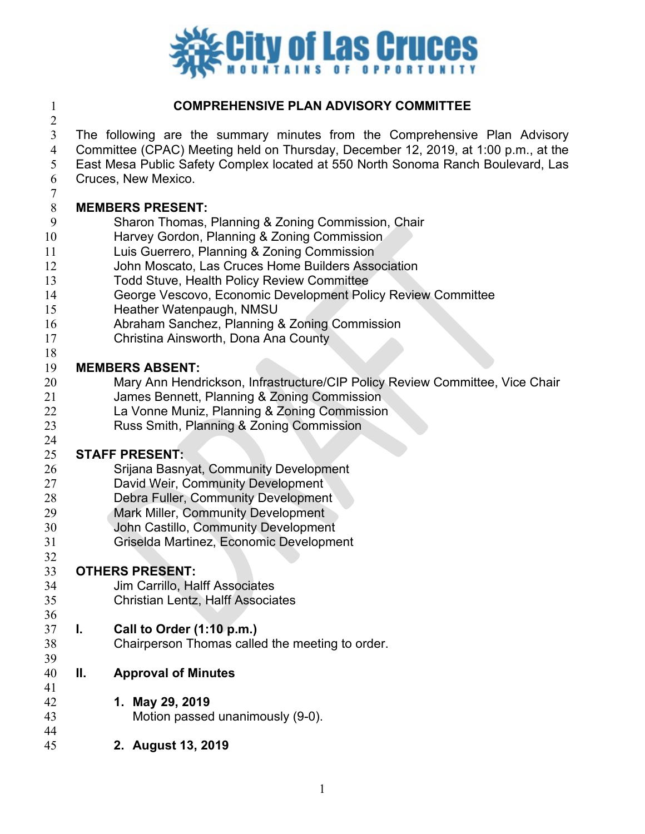

# **COMPREHENSIVE PLAN ADVISORY COMMITTEE**

- The following are the summary minutes from the Comprehensive Plan Advisory Committee (CPAC) Meeting held on Thursday, December 12, 2019, at 1:00 p.m., at the
- East Mesa Public Safety Complex located at 550 North Sonoma Ranch Boulevard, Las
- Cruces, New Mexico.

# **MEMBERS PRESENT:**

- Sharon Thomas, Planning & Zoning Commission, Chair
- Harvey Gordon, Planning & Zoning Commission
- Luis Guerrero, Planning & Zoning Commission
- John Moscato, Las Cruces Home Builders Association
- Todd Stuve, Health Policy Review Committee
- George Vescovo, Economic Development Policy Review Committee
- Heather Watenpaugh, NMSU
- Abraham Sanchez, Planning & Zoning Commission
- Christina Ainsworth, Dona Ana County
- 

- **MEMBERS ABSENT:**  Mary Ann Hendrickson, Infrastructure/CIP Policy Review Committee, Vice Chair
- James Bennett, Planning & Zoning Commission
- La Vonne Muniz, Planning & Zoning Commission
- Russ Smith, Planning & Zoning Commission

#### **STAFF PRESENT:**

- Srijana Basnyat, Community Development
- David Weir, Community Development
- Debra Fuller, Community Development
- Mark Miller, Community Development
- John Castillo, Community Development
- Griselda Martinez, Economic Development

# 

- **OTHERS PRESENT: Jim Carrillo, Halff Associates**
- Christian Lentz, Halff Associates

# **I. Call to Order (1:10 p.m.)**

- Chairperson Thomas called the meeting to order.
- **II. Approval of Minutes**
- **1. May 29, 2019**
- Motion passed unanimously (9-0).
- **2. August 13, 2019**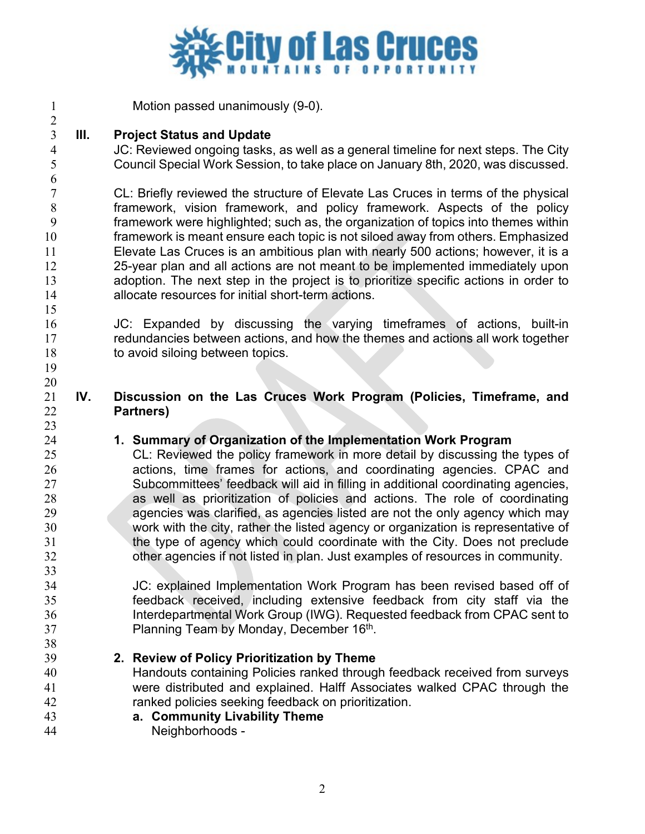

Motion passed unanimously (9-0).

### $\frac{2}{3}$ **III. Project Status and Update**

 JC: Reviewed ongoing tasks, as well as a general timeline for next steps. The City Council Special Work Session, to take place on January 8th, 2020, was discussed.

 CL: Briefly reviewed the structure of Elevate Las Cruces in terms of the physical framework, vision framework, and policy framework. Aspects of the policy framework were highlighted; such as, the organization of topics into themes within framework is meant ensure each topic is not siloed away from others. Emphasized Elevate Las Cruces is an ambitious plan with nearly 500 actions; however, it is a 25-year plan and all actions are not meant to be implemented immediately upon adoption. The next step in the project is to prioritize specific actions in order to allocate resources for initial short-term actions.

- JC: Expanded by discussing the varying timeframes of actions, built-in redundancies between actions, and how the themes and actions all work together 18 to avoid siloing between topics.
- 

# **IV. Discussion on the Las Cruces Work Program (Policies, Timeframe, and Partners)**

# **1. Summary of Organization of the Implementation Work Program**

CL: Reviewed the policy framework in more detail by discussing the types of actions, time frames for actions, and coordinating agencies. CPAC and Subcommittees' feedback will aid in filling in additional coordinating agencies, as well as prioritization of policies and actions. The role of coordinating agencies was clarified, as agencies listed are not the only agency which may work with the city, rather the listed agency or organization is representative of the type of agency which could coordinate with the City. Does not preclude other agencies if not listed in plan. Just examples of resources in community.

 JC: explained Implementation Work Program has been revised based off of feedback received, including extensive feedback from city staff via the Interdepartmental Work Group (IWG). Requested feedback from CPAC sent to **Planning Team by Monday, December 16th.** 

- **2. Review of Policy Prioritization by Theme** Handouts containing Policies ranked through feedback received from surveys were distributed and explained. Halff Associates walked CPAC through the
- ranked policies seeking feedback on prioritization. **a. Community Livability Theme**
- Neighborhoods -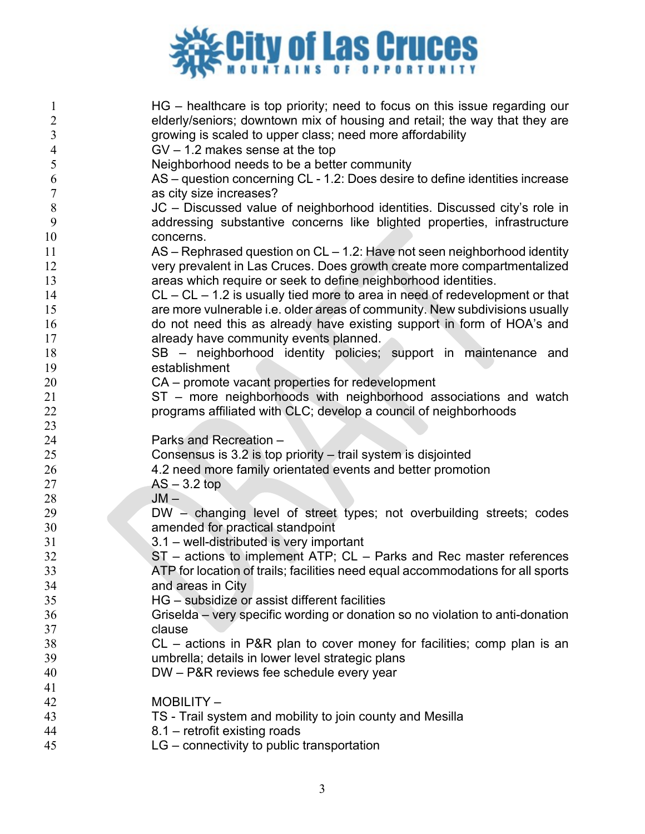

| 1              | HG – healthcare is top priority; need to focus on this issue regarding our      |
|----------------|---------------------------------------------------------------------------------|
| $\overline{2}$ | elderly/seniors; downtown mix of housing and retail; the way that they are      |
| $\mathfrak{Z}$ | growing is scaled to upper class; need more affordability                       |
| $\overline{4}$ | $GV - 1.2$ makes sense at the top                                               |
| 5              | Neighborhood needs to be a better community                                     |
| 6              | AS – question concerning CL - 1.2: Does desire to define identities increase    |
| $\tau$         | as city size increases?                                                         |
| 8              | JC - Discussed value of neighborhood identities. Discussed city's role in       |
| 9              | addressing substantive concerns like blighted properties, infrastructure        |
| 10             | concerns.                                                                       |
| 11             | $AS$ – Rephrased question on $CL$ – 1.2: Have not seen neighborhood identity    |
| 12             | very prevalent in Las Cruces. Does growth create more compartmentalized         |
| 13             | areas which require or seek to define neighborhood identities.                  |
| 14             | $CL - CL - 1.2$ is usually tied more to area in need of redevelopment or that   |
| 15             | are more vulnerable i.e. older areas of community. New subdivisions usually     |
| 16             | do not need this as already have existing support in form of HOA's and          |
| 17             | already have community events planned.                                          |
| 18             | SB – neighborhood identity policies; support in maintenance and                 |
| 19             | establishment                                                                   |
| 20             | CA – promote vacant properties for redevelopment                                |
| 21             | ST - more neighborhoods with neighborhood associations and watch                |
| 22             | programs affiliated with CLC; develop a council of neighborhoods                |
| 23             |                                                                                 |
|                |                                                                                 |
| 24             | Parks and Recreation -                                                          |
| 25             | Consensus is 3.2 is top priority – trail system is disjointed                   |
| 26             | 4.2 need more family orientated events and better promotion                     |
| 27             | $AS - 3.2$ top                                                                  |
| 28             | $JM -$                                                                          |
| 29             | DW - changing level of street types; not overbuilding streets; codes            |
| 30             | amended for practical standpoint                                                |
| 31             | 3.1 - well-distributed is very important                                        |
| 32             | $ST$ – actions to implement ATP; $CL$ – Parks and Rec master references         |
| 33             | ATP for location of trails; facilities need equal accommodations for all sports |
| 34             | and areas in City                                                               |
| 35             | HG – subsidize or assist different facilities                                   |
| 36             | Griselda – very specific wording or donation so no violation to anti-donation   |
| 37             | clause                                                                          |
| 38             | CL - actions in P&R plan to cover money for facilities; comp plan is an         |
| 39             | umbrella; details in lower level strategic plans                                |
| 40             | DW - P&R reviews fee schedule every year                                        |
| 41             |                                                                                 |
| 42             | MOBILITY-                                                                       |
| 43             | TS - Trail system and mobility to join county and Mesilla                       |
| 44             | 8.1 – retrofit existing roads<br>LG - connectivity to public transportation     |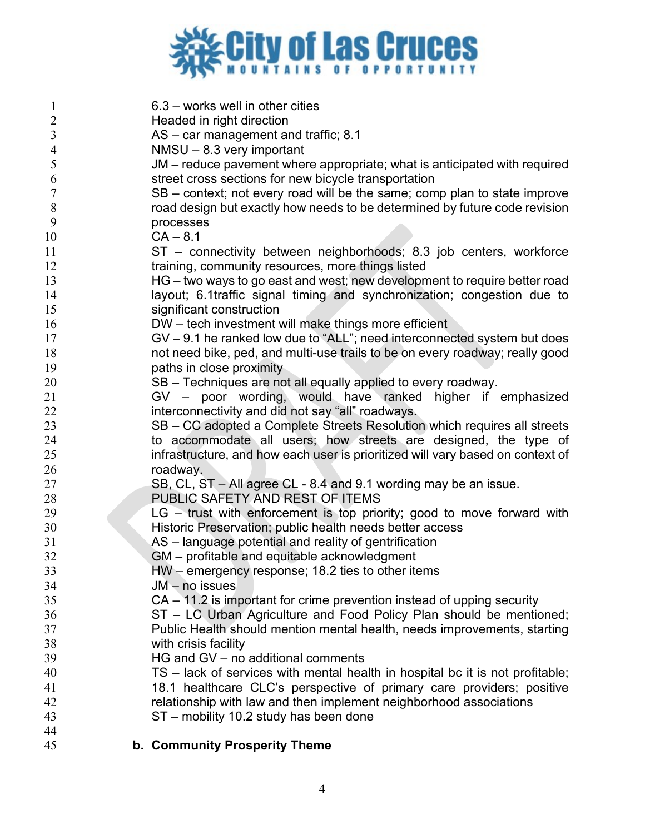

| $\mathbf{1}$     | $6.3$ – works well in other cities                                             |
|------------------|--------------------------------------------------------------------------------|
| $\overline{2}$   | Headed in right direction                                                      |
| 3                | $AS - car$ management and traffic; 8.1                                         |
| 4                | $NMSU - 8.3$ very important                                                    |
| 5                | JM – reduce pavement where appropriate; what is anticipated with required      |
| 6                | street cross sections for new bicycle transportation                           |
| $\boldsymbol{7}$ | SB – context; not every road will be the same; comp plan to state improve      |
| $\,8\,$          | road design but exactly how needs to be determined by future code revision     |
| 9                | processes                                                                      |
| 10               | $CA - 8.1$                                                                     |
| 11               | ST - connectivity between neighborhoods; 8.3 job centers, workforce            |
| 12               | training, community resources, more things listed                              |
| 13               | HG – two ways to go east and west; new development to require better road      |
| 14               | layout; 6.1traffic signal timing and synchronization; congestion due to        |
| 15               | significant construction                                                       |
| 16               | DW - tech investment will make things more efficient                           |
| 17               | $GV - 9.1$ he ranked low due to "ALL"; need interconnected system but does     |
| 18               | not need bike, ped, and multi-use trails to be on every roadway; really good   |
| 19               | paths in close proximity                                                       |
| 20               | SB – Techniques are not all equally applied to every roadway.                  |
| 21               | GV - poor wording, would have ranked higher if emphasized                      |
| 22               | interconnectivity and did not say "all" roadways.                              |
| 23               | SB – CC adopted a Complete Streets Resolution which requires all streets       |
| 24               | to accommodate all users; how streets are designed, the type of                |
| 25               | infrastructure, and how each user is prioritized will vary based on context of |
| 26               | roadway.                                                                       |
| 27               | SB, CL, ST - All agree CL - 8.4 and 9.1 wording may be an issue.               |
| 28               | PUBLIC SAFETY AND REST OF ITEMS                                                |
| 29               | $LG -$ trust with enforcement is top priority; good to move forward with       |
| 30               | Historic Preservation; public health needs better access                       |
| 31               | AS - language potential and reality of gentrification                          |
| 32               | GM - profitable and equitable acknowledgment                                   |
| 33               | HW - emergency response; 18.2 ties to other items                              |
| 34               | JM – no issues                                                                 |
| 35               | $CA - 11.2$ is important for crime prevention instead of upping security       |
| 36               | ST - LC Urban Agriculture and Food Policy Plan should be mentioned;            |
| 37               | Public Health should mention mental health, needs improvements, starting       |
| 38               | with crisis facility                                                           |
| 39               | HG and GV - no additional comments                                             |
| 40               | TS – lack of services with mental health in hospital bc it is not profitable;  |
| 41               | 18.1 healthcare CLC's perspective of primary care providers; positive          |
| 42               | relationship with law and then implement neighborhood associations             |
| 43               | ST – mobility 10.2 study has been done                                         |
| 44               |                                                                                |
| 45               | b. Community Prosperity Theme                                                  |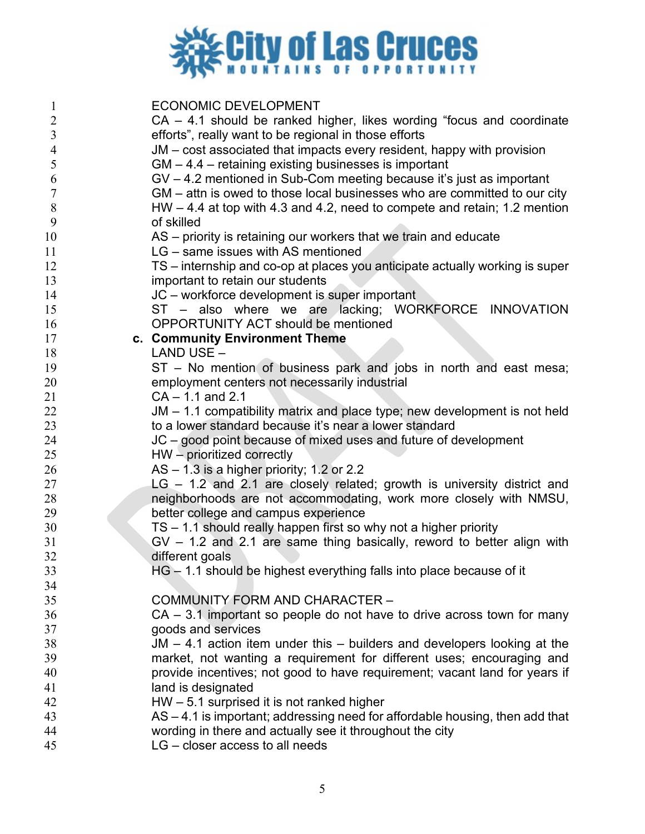

| $\mathbf{1}$   | <b>ECONOMIC DEVELOPMENT</b>                                                    |
|----------------|--------------------------------------------------------------------------------|
| $\overline{2}$ | $CA - 4.1$ should be ranked higher, likes wording "focus and coordinate        |
| $\mathfrak{Z}$ | efforts", really want to be regional in those efforts                          |
| $\overline{4}$ | JM – cost associated that impacts every resident, happy with provision         |
| 5              | $GM - 4.4$ – retaining existing businesses is important                        |
| 6              | $GV - 4.2$ mentioned in Sub-Com meeting because it's just as important         |
| $\tau$         | GM – attn is owed to those local businesses who are committed to our city      |
| 8              | $HW - 4.4$ at top with 4.3 and 4.2, need to compete and retain; 1.2 mention    |
| 9              | of skilled                                                                     |
| 10             | AS – priority is retaining our workers that we train and educate               |
| 11             | LG – same issues with AS mentioned                                             |
| 12             | TS – internship and co-op at places you anticipate actually working is super   |
| 13             | important to retain our students                                               |
| 14             | JC – workforce development is super important                                  |
| 15             | ST - also where we are lacking; WORKFORCE INNOVATION                           |
| 16             | <b>OPPORTUNITY ACT should be mentioned</b>                                     |
| 17<br>18       | c. Community Environment Theme<br>LAND USE -                                   |
| 19             | ST - No mention of business park and jobs in north and east mesa;              |
| 20             | employment centers not necessarily industrial                                  |
| 21             | $CA - 1.1$ and 2.1                                                             |
| 22             | $JM - 1.1$ compatibility matrix and place type; new development is not held    |
| 23             | to a lower standard because it's near a lower standard                         |
| 24             | JC – good point because of mixed uses and future of development                |
| 25             | $HW -$ prioritized correctly                                                   |
| 26             | $AS - 1.3$ is a higher priority; 1.2 or 2.2                                    |
| 27             | LG - 1.2 and 2.1 are closely related; growth is university district and        |
| 28             | neighborhoods are not accommodating, work more closely with NMSU,              |
| 29             | better college and campus experience                                           |
| 30             | $TS - 1.1$ should really happen first so why not a higher priority             |
| 31             | $GV - 1.2$ and 2.1 are same thing basically, reword to better align with       |
| 32             | different goals                                                                |
| 33             | HG - 1.1 should be highest everything falls into place because of it           |
| 34             |                                                                                |
| 35             | COMMUNITY FORM AND CHARACTER -                                                 |
| 36             | $CA - 3.1$ important so people do not have to drive across town for many       |
| 37             | goods and services                                                             |
| 38             | $JM - 4.1$ action item under this $-$ builders and developers looking at the   |
| 39             | market, not wanting a requirement for different uses; encouraging and          |
| 40             | provide incentives; not good to have requirement; vacant land for years if     |
| 41             | land is designated                                                             |
| 42             | $HW - 5.1$ surprised it is not ranked higher                                   |
| 43             | $AS - 4.1$ is important; addressing need for affordable housing, then add that |
| 44             | wording in there and actually see it throughout the city                       |
| 45             | $LG$ – closer access to all needs                                              |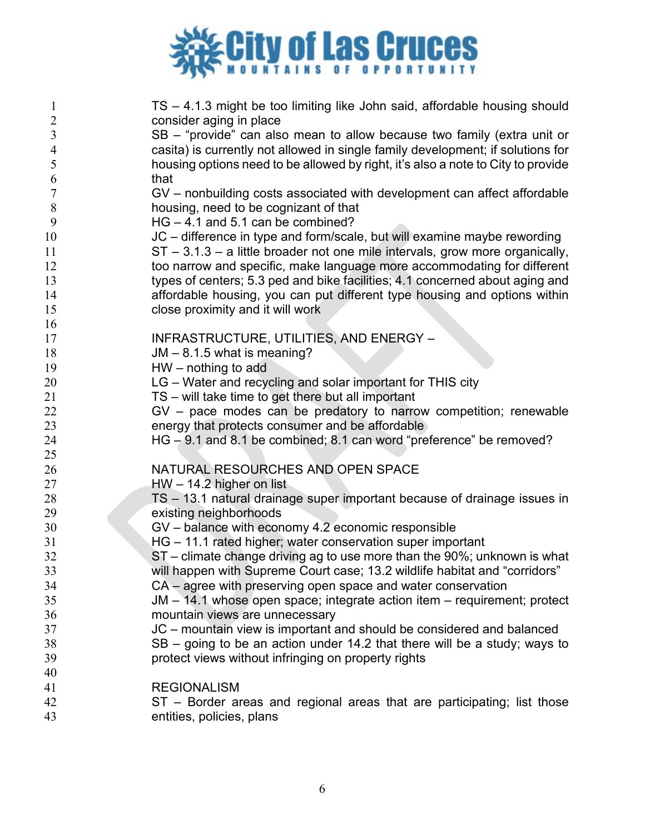

| $\mathbf{1}$            | TS - 4.1.3 might be too limiting like John said, affordable housing should       |
|-------------------------|----------------------------------------------------------------------------------|
| $\sqrt{2}$              | consider aging in place                                                          |
| $\overline{\mathbf{3}}$ | SB - "provide" can also mean to allow because two family (extra unit or          |
| $\overline{4}$          | casita) is currently not allowed in single family development; if solutions for  |
| 5                       | housing options need to be allowed by right, it's also a note to City to provide |
| 6                       | that                                                                             |
| $\overline{7}$          | GV – nonbuilding costs associated with development can affect affordable         |
| 8                       | housing, need to be cognizant of that                                            |
| 9                       | $HG - 4.1$ and $5.1$ can be combined?                                            |
| 10                      | JC – difference in type and form/scale, but will examine maybe rewording         |
| 11                      | $ST - 3.1.3 - a$ little broader not one mile intervals, grow more organically,   |
| 12                      | too narrow and specific, make language more accommodating for different          |
| 13                      | types of centers; 5.3 ped and bike facilities; 4.1 concerned about aging and     |
| 14                      | affordable housing, you can put different type housing and options within        |
| 15                      | close proximity and it will work                                                 |
| 16<br>17                | INFRASTRUCTURE, UTILITIES, AND ENERGY -                                          |
| 18                      | JM - 8.1.5 what is meaning?                                                      |
| 19                      | $HW - nothing to add$                                                            |
| 20                      | LG - Water and recycling and solar important for THIS city                       |
| 21                      | TS – will take time to get there but all important                               |
| 22                      | GV - pace modes can be predatory to narrow competition; renewable                |
| 23                      | energy that protects consumer and be affordable                                  |
| 24                      | HG - 9.1 and 8.1 be combined; 8.1 can word "preference" be removed?              |
| 25                      |                                                                                  |
| 26                      | NATURAL RESOURCHES AND OPEN SPACE                                                |
| 27                      | $HW - 14.2$ higher on list                                                       |
| 28                      | TS - 13.1 natural drainage super important because of drainage issues in         |
| 29                      | existing neighborhoods                                                           |
| 30                      | GV – balance with economy 4.2 economic responsible                               |
| 31                      | HG - 11.1 rated higher; water conservation super important                       |
| 32                      | ST - climate change driving ag to use more than the 90%; unknown is what         |
| 33                      | will happen with Supreme Court case; 13.2 wildlife habitat and "corridors"       |
| 34                      | CA - agree with preserving open space and water conservation                     |
| 35                      | JM – 14.1 whose open space; integrate action item – requirement; protect         |
| 36                      | mountain views are unnecessary                                                   |
| 37                      | JC – mountain view is important and should be considered and balanced            |
| 38                      | SB – going to be an action under 14.2 that there will be a study; ways to        |
| 39                      | protect views without infringing on property rights                              |
| 40                      |                                                                                  |
| 41                      | <b>REGIONALISM</b>                                                               |
| 42                      | ST – Border areas and regional areas that are participating; list those          |
| 43                      | entities, policies, plans                                                        |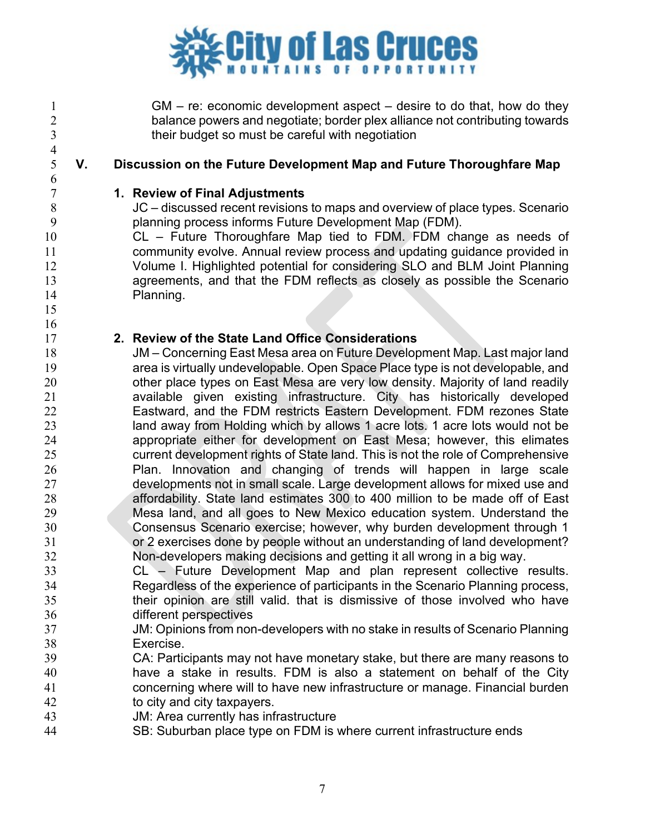

 GM – re: economic development aspect – desire to do that, how do they 2 balance powers and negotiate; border plex alliance not contributing towards<br>3 their budget so must be careful with negotiation their budget so must be careful with negotiation

 $\frac{4}{5}$ 

 

# **V. Discussion on the Future Development Map and Future Thoroughfare Map**

### **1. Review of Final Adjustments**

 JC – discussed recent revisions to maps and overview of place types. Scenario planning process informs Future Development Map (FDM).

 CL – Future Thoroughfare Map tied to FDM. FDM change as needs of community evolve. Annual review process and updating guidance provided in Volume I. Highlighted potential for considering SLO and BLM Joint Planning agreements, and that the FDM reflects as closely as possible the Scenario Planning.

### **2. Review of the State Land Office Considerations**

 JM – Concerning East Mesa area on Future Development Map. Last major land area is virtually undevelopable. Open Space Place type is not developable, and 20 other place types on East Mesa are very low density. Majority of land readily available given existing infrastructure. City has historically developed Eastward, and the FDM restricts Eastern Development. FDM rezones State land away from Holding which by allows 1 acre lots. 1 acre lots would not be appropriate either for development on East Mesa; however, this elimates current development rights of State land. This is not the role of Comprehensive Plan. Innovation and changing of trends will happen in large scale developments not in small scale. Large development allows for mixed use and affordability. State land estimates 300 to 400 million to be made off of East Mesa land, and all goes to New Mexico education system. Understand the Consensus Scenario exercise; however, why burden development through 1 or 2 exercises done by people without an understanding of land development? Non-developers making decisions and getting it all wrong in a big way.

- CL Future Development Map and plan represent collective results. Regardless of the experience of participants in the Scenario Planning process, their opinion are still valid. that is dismissive of those involved who have different perspectives
- JM: Opinions from non-developers with no stake in results of Scenario Planning Exercise.
- CA: Participants may not have monetary stake, but there are many reasons to have a stake in results. FDM is also a statement on behalf of the City concerning where will to have new infrastructure or manage. Financial burden 42 to city and city taxpayers.
- JM: Area currently has infrastructure
- SB: Suburban place type on FDM is where current infrastructure ends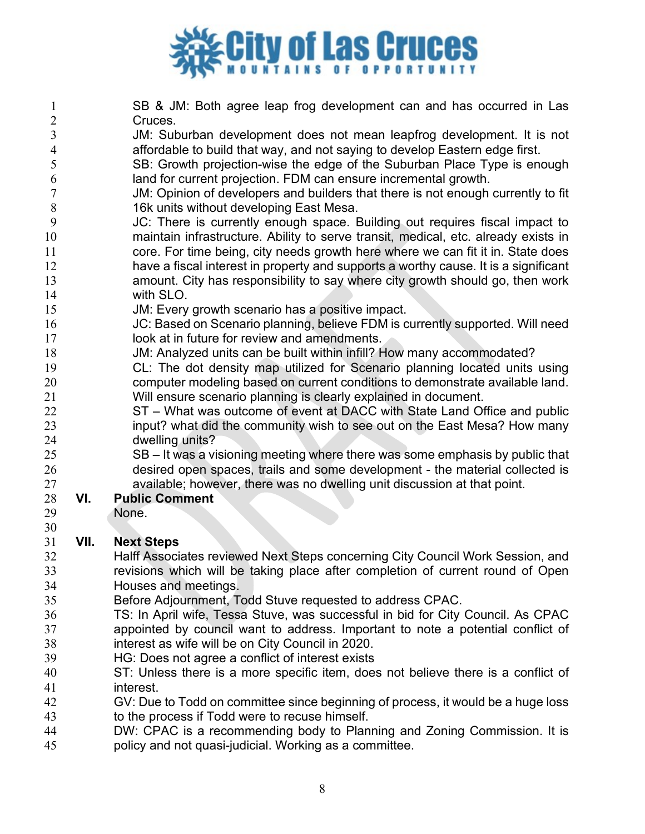

 SB & JM: Both agree leap frog development can and has occurred in Las Cruces.

- JM: Suburban development does not mean leapfrog development. It is not affordable to build that way, and not saying to develop Eastern edge first.
- SB: Growth projection-wise the edge of the Suburban Place Type is enough land for current projection. FDM can ensure incremental growth.
- JM: Opinion of developers and builders that there is not enough currently to fit 16k units without developing East Mesa.
- JC: There is currently enough space. Building out requires fiscal impact to maintain infrastructure. Ability to serve transit, medical, etc. already exists in core. For time being, city needs growth here where we can fit it in. State does have a fiscal interest in property and supports a worthy cause. It is a significant amount. City has responsibility to say where city growth should go, then work with SLO.
- JM: Every growth scenario has a positive impact.
- JC: Based on Scenario planning, believe FDM is currently supported. Will need **look at in future for review and amendments.**
- JM: Analyzed units can be built within infill? How many accommodated?
- CL: The dot density map utilized for Scenario planning located units using computer modeling based on current conditions to demonstrate available land. Will ensure scenario planning is clearly explained in document.
- ST What was outcome of event at DACC with State Land Office and public input? what did the community wish to see out on the East Mesa? How many dwelling units?
- SB It was a visioning meeting where there was some emphasis by public that desired open spaces, trails and some development - the material collected is 27 available; however, there was no dwelling unit discussion at that point.<br>28 **VI.** Public Comment

# **VI. Public Comment**

- None.
- 

# **VII. Next Steps**

- Halff Associates reviewed Next Steps concerning City Council Work Session, and revisions which will be taking place after completion of current round of Open Houses and meetings.
- Before Adjournment, Todd Stuve requested to address CPAC.
- TS: In April wife, Tessa Stuve, was successful in bid for City Council. As CPAC appointed by council want to address. Important to note a potential conflict of interest as wife will be on City Council in 2020.
- HG: Does not agree a conflict of interest exists
- ST: Unless there is a more specific item, does not believe there is a conflict of interest.
- GV: Due to Todd on committee since beginning of process, it would be a huge loss to the process if Todd were to recuse himself.
- DW: CPAC is a recommending body to Planning and Zoning Commission. It is policy and not quasi-judicial. Working as a committee.